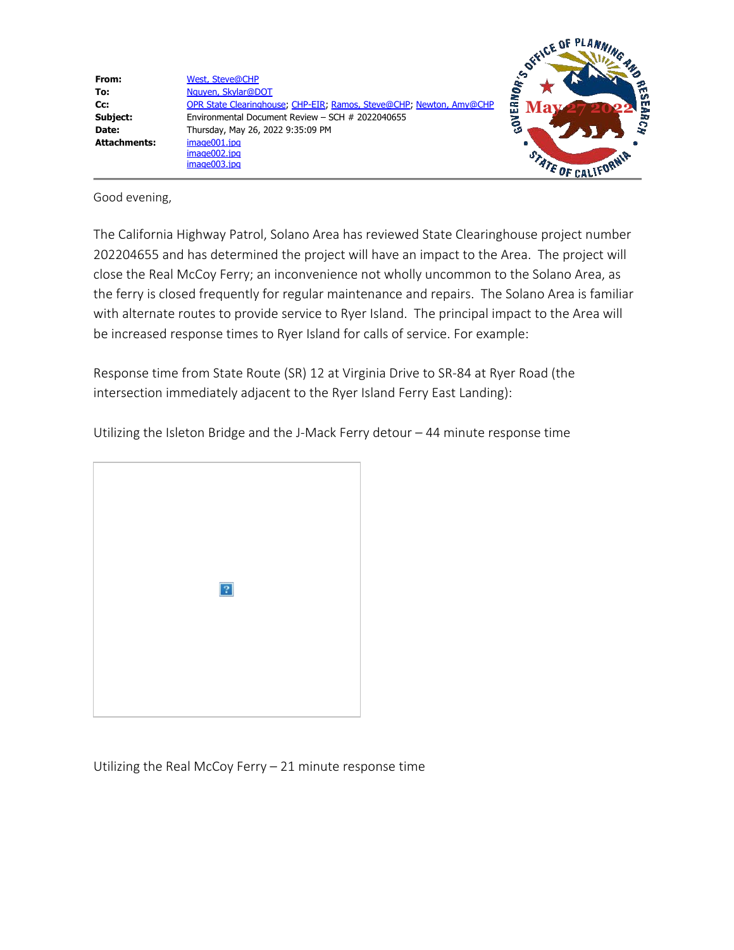

Good evening,

The California Highway Patrol, Solano Area has reviewed State Clearinghouse project number 202204655 and has determined the project will have an impact to the Area. The project will close the Real McCoy Ferry; an inconvenience not wholly uncommon to the Solano Area, as the ferry is closed frequently for regular maintenance and repairs. The Solano Area is familiar with alternate routes to provide service to Ryer Island. The principal impact to the Area will be increased response times to Ryer Island for calls of service. For example:

Response time from State Route (SR) 12 at Virginia Drive to SR-84 at Ryer Road (the intersection immediately adjacent to the Ryer Island Ferry East Landing):

Utilizing the Isleton Bridge and the J-Mack Ferry detour – 44 minute response time



Utilizing the Real McCoy Ferry – 21 minute response time